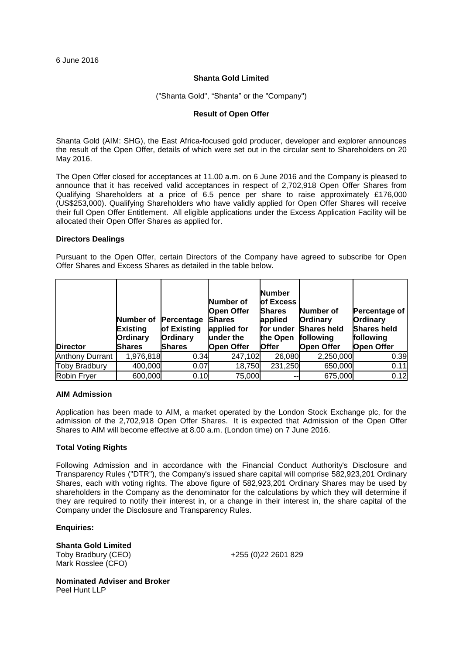6 June 2016

### **Shanta Gold Limited**

("Shanta Gold", "Shanta" or the "Company")

## **Result of Open Offer**

Shanta Gold (AIM: SHG), the East Africa-focused gold producer, developer and explorer announces the result of the Open Offer, details of which were set out in the circular sent to Shareholders on 20 May 2016.

The Open Offer closed for acceptances at 11.00 a.m. on 6 June 2016 and the Company is pleased to announce that it has received valid acceptances in respect of 2,702,918 Open Offer Shares from Qualifying Shareholders at a price of 6.5 pence per share to raise approximately £176,000 (US\$253,000). Qualifying Shareholders who have validly applied for Open Offer Shares will receive their full Open Offer Entitlement. All eligible applications under the Excess Application Facility will be allocated their Open Offer Shares as applied for.

#### **Directors Dealings**

Pursuant to the Open Offer, certain Directors of the Company have agreed to subscribe for Open Offer Shares and Excess Shares as detailed in the table below.

| <b>Director</b>        | Number of<br><b>Existing</b><br><b>Ordinary</b><br><b>Shares</b> | Percentage<br>of Existing<br>Ordinary<br><b>Shares</b> | Number of<br><b>Open Offer</b><br>Shares<br>applied for<br>lunder the<br><b>Open Offer</b> | <b>Number</b><br><b>lof Excess</b><br><b>Shares</b><br>applied<br>ffor under<br>the Open<br><b>Offer</b> | Number of<br><b>Ordinary</b><br><b>Shares held</b><br>lfollowing<br><b>Open Offer</b> | Percentage of<br>Ordinary<br><b>Shares held</b><br>following<br><b>Open Offer</b> |
|------------------------|------------------------------------------------------------------|--------------------------------------------------------|--------------------------------------------------------------------------------------------|----------------------------------------------------------------------------------------------------------|---------------------------------------------------------------------------------------|-----------------------------------------------------------------------------------|
| <b>Anthony Durrant</b> | 1,976,818                                                        | 0.34                                                   | 247,102                                                                                    | 26,080                                                                                                   | 2,250,000                                                                             | 0.39                                                                              |
| <b>Toby Bradbury</b>   | 400,000                                                          | 0.07                                                   | 18,750                                                                                     | 231,250                                                                                                  | 650,000                                                                               | 0.11                                                                              |
| Robin Fryer            | 600,000                                                          | 0.10                                                   | 75,000                                                                                     |                                                                                                          | 675,000                                                                               | 0.12                                                                              |

#### **AIM Admission**

Application has been made to AIM, a market operated by the London Stock Exchange plc, for the admission of the 2,702,918 Open Offer Shares. It is expected that Admission of the Open Offer Shares to AIM will become effective at 8.00 a.m. (London time) on 7 June 2016.

#### **Total Voting Rights**

Following Admission and in accordance with the Financial Conduct Authority's Disclosure and Transparency Rules ("DTR"), the Company's issued share capital will comprise 582,923,201 Ordinary Shares, each with voting rights. The above figure of 582,923,201 Ordinary Shares may be used by shareholders in the Company as the denominator for the calculations by which they will determine if they are required to notify their interest in, or a change in their interest in, the share capital of the Company under the Disclosure and Transparency Rules.

**Enquiries:**

**Shanta Gold Limited**  Toby Bradbury (CEO) Mark Rosslee (CFO)

+255 (0)22 2601 829

**Nominated Adviser and Broker** Peel Hunt LLP